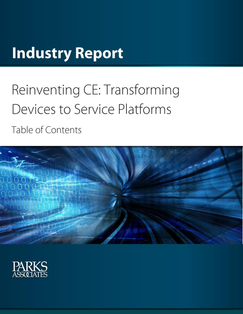# **Industry Report**

# Reinventing CE: Transforming Devices to Service Platforms

Table of Contents



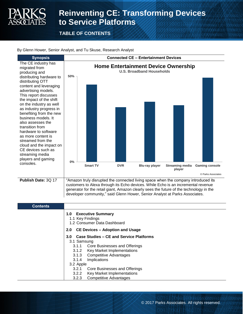

## **Reinventing CE: Transforming Devices to Service Platforms**

**TABLE OF CONTENTS**

By Glenn Hower, Senior Analyst, and Tu Skuse, Research Analyst

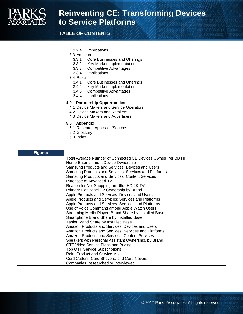

## **Reinventing CE: Transforming Devices to Service Platforms**

### **TABLE OF CONTENTS**

- 3.2.4 Implications
- 3.3 Amazon
	- 3.3.1 Core Businesses and Offerings
	- 3.3.2 Key Market Implementations
- 3.3.3 Competitive Advantages<br>3.3.4 Implications
- **Implications**
- 3.4 Roku
	- 3.4.1 Core Businesses and Offerings
	- 3.4.2 Key Market Implementations
	- 3.4.3 Competitive Advantages<br>3.4.4 Implications
	- **Implications**

#### **4.0 Partnership Opportunities**

- 4.1 Device Makers and Service Operators
- 4.2 Device Makers and Retailers
- 4.3 Device Makers and Advertisers
- **5.0 Appendix**
	- 5.1 Research Approach/Sources
	- 5.2 Glossary
	- 5.3 Index

### **Figures** Total Average Number of Connected CE Devices Owned Per BB HH Home Entertainment Device Ownership Samsung Products and Services: Devices and Users Samsung Products and Services: Services and Platforms Samsung Products and Services: Content Services Purchase of Advanced TV Reason for Not Shopping an Ultra HD/4K TV Primary Flat Panel TV Ownership by Brand Apple Products and Services: Devices and Users Apple Products and Services: Services and Platforms Apple Products and Services: Services and Platforms Use of Voice Command among Apple Watch Users Streaming Media Player: Brand Share by Installed Base Smartphone Brand Share by Installed Base Tablet Brand Share by Installed Base Amazon Products and Services: Devices and Users Amazon Products and Services: Services and Platforms Amazon Products and Services: Content Services Speakers with Personal Assistant Ownership, by Brand OTT Video Service Plans and Pricing Top OTT Service Subscriptions Roku Product and Service Mix Cord Cutters, Cord Shavers, and Cord Nevers Companies Researched or Interviewed